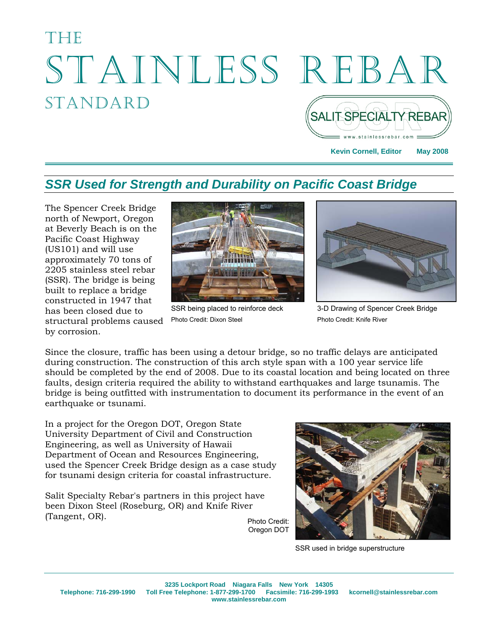# THETH STAINLESS REBAR STANDARD **SALIT SPECIALTY REBAR**

**Kevin Cornell, Editor May 2008** 

ww.stainlessrebar.com

#### *SSR Used for Strength and Durability on Pacific Coast Bridge*

The Spencer Creek Bridge north of Newport, Oregon at Beverly Beach is on the Pacific Coast Highway (US101) and will use approximately 70 tons of 2205 stainless steel rebar (SSR). The bridge is being built to replace a bridge constructed in 1947 that has been closed due to structural problems caused by corrosion.



Photo Credit: Dixon Steel Photo Credit: Knife River



SSR being placed to reinforce deck 3-D Drawing of Spencer Creek Bridge

Since the closure, traffic has been using a detour bridge, so no traffic delays are anticipated during construction. The construction of this arch style span with a 100 year service life should be completed by the end of 2008. Due to its coastal location and being located on three faults, design criteria required the ability to withstand earthquakes and large tsunamis. The bridge is being outfitted with instrumentation to document its performance in the event of an earthquake or tsunami.

In a project for the Oregon DOT, Oregon State University Department of Civil and Construction Engineering, as well as University of Hawaii Department of Ocean and Resources Engineering, used the Spencer Creek Bridge design as a case study for tsunami design criteria for coastal infrastructure.

Salit Specialty Rebar's partners in this project have been Dixon Steel (Roseburg, OR) and Knife River (Tangent, OR).

Photo Credit: Oregon DOT



SSR used in bridge superstructure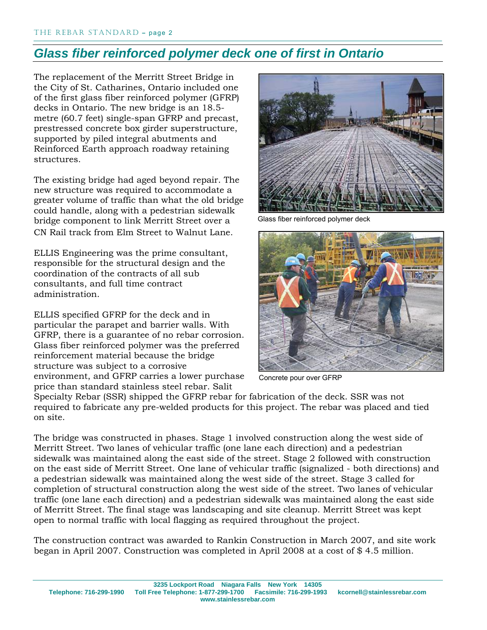### *Glass fiber reinforced polymer deck one of first in Ontario*

The replacement of the Merritt Street Bridge in the City of St. Catharines, Ontario included one of the first glass fiber reinforced polymer (GFRP) decks in Ontario. The new bridge is an 18.5 metre (60.7 feet) single-span GFRP and precast, prestressed concrete box girder superstructure, supported by piled integral abutments and Reinforced Earth approach roadway retaining structures.

The existing bridge had aged beyond repair. The new structure was required to accommodate a greater volume of traffic than what the old bridge could handle, along with a pedestrian sidewalk bridge component to link Merritt Street over a CN Rail track from Elm Street to Walnut Lane.

ELLIS Engineering was the prime consultant, responsible for the structural design and the coordination of the contracts of all sub consultants, and full time contract administration.

ELLIS specified GFRP for the deck and in particular the parapet and barrier walls. With GFRP, there is a guarantee of no rebar corrosion. Glass fiber reinforced polymer was the preferred reinforcement material because the bridge structure was subject to a corrosive environment, and GFRP carries a lower purchase price than standard stainless steel rebar. Salit



Glass fiber reinforced polymer deck



Concrete pour over GFRP

Specialty Rebar (SSR) shipped the GFRP rebar for fabrication of the deck. SSR was not required to fabricate any pre-welded products for this project. The rebar was placed and tied on site.

The bridge was constructed in phases. Stage 1 involved construction along the west side of Merritt Street. Two lanes of vehicular traffic (one lane each direction) and a pedestrian sidewalk was maintained along the east side of the street. Stage 2 followed with construction on the east side of Merritt Street. One lane of vehicular traffic (signalized - both directions) and a pedestrian sidewalk was maintained along the west side of the street. Stage 3 called for completion of structural construction along the west side of the street. Two lanes of vehicular traffic (one lane each direction) and a pedestrian sidewalk was maintained along the east side of Merritt Street. The final stage was landscaping and site cleanup. Merritt Street was kept open to normal traffic with local flagging as required throughout the project.

The construction contract was awarded to Rankin Construction in March 2007, and site work began in April 2007. Construction was completed in April 2008 at a cost of \$ 4.5 million.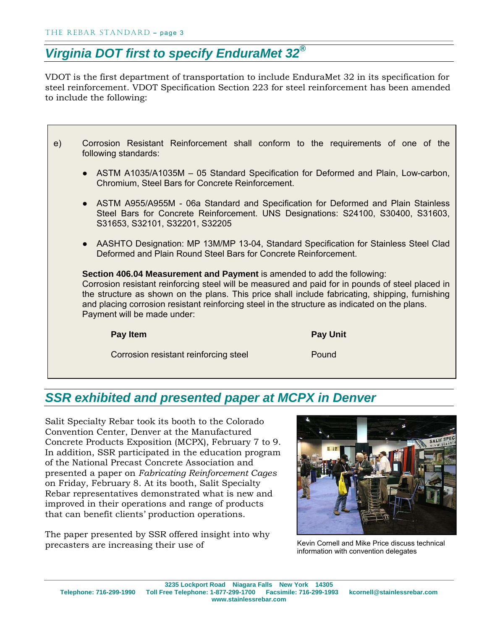## *Virginia DOT first to specify EnduraMet 32®*

VDOT is the first department of transportation to include EnduraMet 32 in its specification for steel reinforcement. VDOT Specification Section 223 for steel reinforcement has been amended to include the following:

- e) Corrosion Resistant Reinforcement shall conform to the requirements of one of the following standards:
	- ASTM A1035/A1035M 05 Standard Specification for Deformed and Plain, Low-carbon, Chromium, Steel Bars for Concrete Reinforcement.
	- ASTM A955/A955M 06a Standard and Specification for Deformed and Plain Stainless Steel Bars for Concrete Reinforcement. UNS Designations: S24100, S30400, S31603, S31653, S32101, S32201, S32205
	- AASHTO Designation: MP 13M/MP 13-04, Standard Specification for Stainless Steel Clad Deformed and Plain Round Steel Bars for Concrete Reinforcement.

**Section 406.04 Measurement and Payment** is amended to add the following: Corrosion resistant reinforcing steel will be measured and paid for in pounds of steel placed in the structure as shown on the plans. This price shall include fabricating, shipping, furnishing and placing corrosion resistant reinforcing steel in the structure as indicated on the plans. Payment will be made under:

**Pay Item Pay Unit**  Pay Unit **Pay Unit** 

Corrosion resistant reinforcing steel Pound

#### *SSR exhibited and presented paper at MCPX in Denver*

Salit Specialty Rebar took its booth to the Colorado Convention Center, Denver at the Manufactured Concrete Products Exposition (MCPX), February 7 to 9. In addition, SSR participated in the education program of the National Precast Concrete Association and presented a paper on *Fabricating Reinforcement Cages* on Friday, February 8. At its booth, Salit Specialty Rebar representatives demonstrated what is new and improved in their operations and range of products that can benefit clients' production operations.

The paper presented by SSR offered insight into why precasters are increasing their use of



Kevin Cornell and Mike Price discuss technical information with convention delegates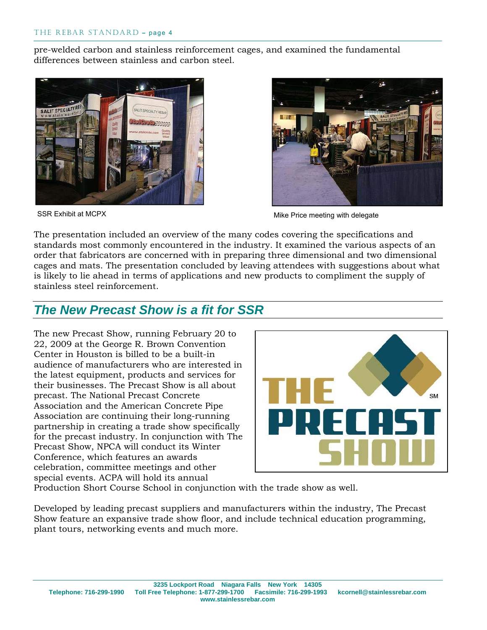pre-welded carbon and stainless reinforcement cages, and examined the fundamental differences between stainless and carbon steel.





SSR Exhibit at MCPX **Mike Price meeting with delegate** Mike Price meeting with delegate

The presentation included an overview of the many codes covering the specifications and standards most commonly encountered in the industry. It examined the various aspects of an order that fabricators are concerned with in preparing three dimensional and two dimensional cages and mats. The presentation concluded by leaving attendees with suggestions about what is likely to lie ahead in terms of applications and new products to compliment the supply of stainless steel reinforcement.

#### *The New Precast Show is a fit for SSR*

The new Precast Show, running February 20 to 22, 2009 at the George R. Brown Convention Center in Houston is billed to be a built-in audience of manufacturers who are interested in the latest equipment, products and services for their businesses. The Precast Show is all about precast. The National Precast Concrete Association and the American Concrete Pipe Association are continuing their long-running partnership in creating a trade show specifically for the precast industry. In conjunction with The Precast Show, NPCA will conduct its Winter Conference, which features an awards celebration, committee meetings and other special events. ACPA will hold its annual



Production Short Course School in conjunction with the trade show as well.

Developed by leading precast suppliers and manufacturers within the industry, The Precast Show feature an expansive trade show floor, and include technical education programming, plant tours, networking events and much more.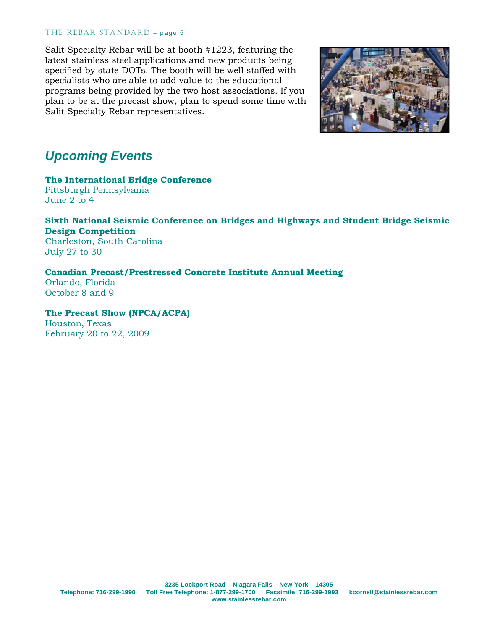#### THE REBAR STANDARD **–** page 5

Salit Specialty Rebar will be at booth #1223, featuring the latest stainless steel applications and new products being specified by state DOTs. The booth will be well staffed with specialists who are able to add value to the educational programs being provided by the two host associations. If you plan to be at the precast show, plan to spend some time with Salit Specialty Rebar representatives.



#### *Upcoming Events*

**The International Bridge Conference**  Pittsburgh Pennsylvania June 2 to 4

**Sixth National Seismic Conference on Bridges and Highways and Student Bridge Seismic Design Competition** Charleston, South Carolina July 27 to 30

**Canadian Precast/Prestressed Concrete Institute Annual Meeting** Orlando, Florida October 8 and 9

**The Precast Show (NPCA/ACPA)**  Houston, Texas

February 20 to 22, 2009